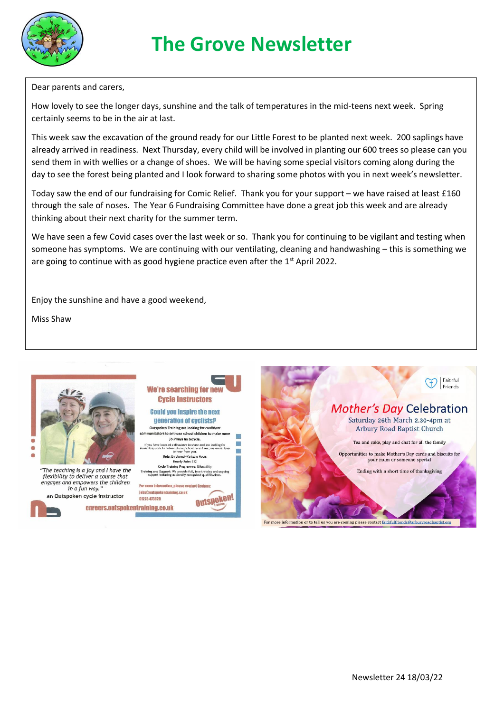

## **The Grove Newsletter**

Dear parents and carers,

How lovely to see the longer days, sunshine and the talk of temperatures in the mid-teens next week. Spring certainly seems to be in the air at last.

This week saw the excavation of the ground ready for our Little Forest to be planted next week. 200 saplings have already arrived in readiness. Next Thursday, every child will be involved in planting our 600 trees so please can you send them in with wellies or a change of shoes. We will be having some special visitors coming along during the day to see the forest being planted and I look forward to sharing some photos with you in next week's newsletter.

Today saw the end of our fundraising for Comic Relief. Thank you for your support – we have raised at least £160 through the sale of noses. The Year 6 Fundraising Committee have done a great job this week and are already thinking about their next charity for the summer term.

We have seen a few Covid cases over the last week or so. Thank you for continuing to be vigilant and testing when someone has symptoms. We are continuing with our ventilating, cleaning and handwashing – this is something we are going to continue with as good hygiene practice even after the  $1<sup>st</sup>$  April 2022.

Enjoy the sunshine and have a good weekend,

**We're searching for ne Cycle Instructors** 

**Could you inspire the next** generation of cyclists?

Outspoken Training are looking for confident

nunicators to enthuse school children to make more journeys by bicycle.

If you have loads of enthusiasm to share and are looking for<br>arding work to deliver during school term time, we would love<br>to hear from you.<br>Role: Employed-Variable Hours<br>Hourty Rate: E12

Cycle Training Programme: Bikeability

Training and Support: We provide full, free training and ongoing<br>support including nationally recognised qualifications.

**Outspoken!** 

For more information, please contact Graham

jebs@outspokentraining.co.uk

01223 473820

Miss Shaw



"The teaching is a joy and I have the flexibility to deliver a course that<br>engages and empowers the children in a fun way. an Outspoken cycle instructor

careers.outspokentraining.co.uk

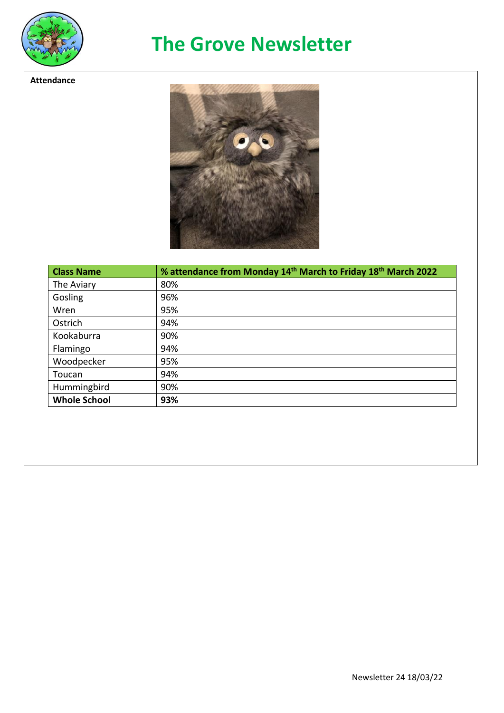

**Attendance**

## **The Grove Newsletter**

 $\bullet$ 

| <b>Class Name</b>   | % attendance from Monday 14 <sup>th</sup> March to Friday 18 <sup>th</sup> March 2022 |
|---------------------|---------------------------------------------------------------------------------------|
| The Aviary          | 80%                                                                                   |
| Gosling             | 96%                                                                                   |
| Wren                | 95%                                                                                   |
| Ostrich             | 94%                                                                                   |
| Kookaburra          | 90%                                                                                   |
| Flamingo            | 94%                                                                                   |
| Woodpecker          | 95%                                                                                   |
| Toucan              | 94%                                                                                   |
| Hummingbird         | 90%                                                                                   |
| <b>Whole School</b> | 93%                                                                                   |